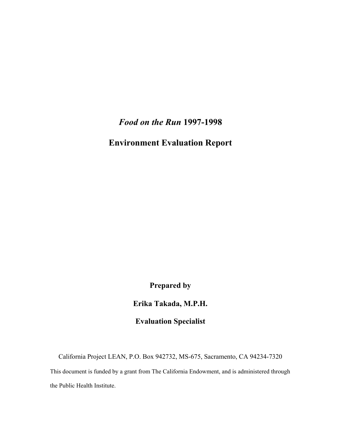*Food on the Run* **1997-1998** 

**Environment Evaluation Report** 

**Prepared by** 

**Erika Takada, M.P.H.** 

**Evaluation Specialist** 

California Project LEAN, P.O. Box 942732, MS-675, Sacramento, CA 94234-7320

This document is funded by a grant from The California Endowment, and is administered through the Public Health Institute.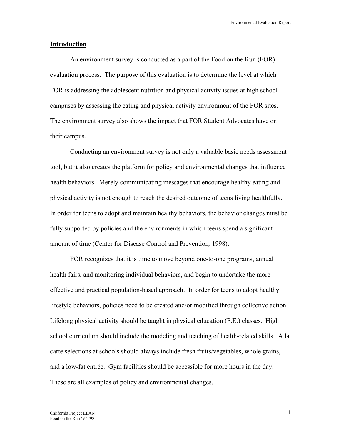#### **Introduction**

 An environment survey is conducted as a part of the Food on the Run (FOR) evaluation process. The purpose of this evaluation is to determine the level at which FOR is addressing the adolescent nutrition and physical activity issues at high school campuses by assessing the eating and physical activity environment of the FOR sites. The environment survey also shows the impact that FOR Student Advocates have on their campus.

 Conducting an environment survey is not only a valuable basic needs assessment tool, but it also creates the platform for policy and environmental changes that influence health behaviors. Merely communicating messages that encourage healthy eating and physical activity is not enough to reach the desired outcome of teens living healthfully. In order for teens to adopt and maintain healthy behaviors, the behavior changes must be fully supported by policies and the environments in which teens spend a significant amount of time (Center for Disease Control and Prevention*,* 1998).

 FOR recognizes that it is time to move beyond one-to-one programs, annual health fairs, and monitoring individual behaviors, and begin to undertake the more effective and practical population-based approach. In order for teens to adopt healthy lifestyle behaviors, policies need to be created and/or modified through collective action. Lifelong physical activity should be taught in physical education (P.E.) classes. High school curriculum should include the modeling and teaching of health-related skills. A la carte selections at schools should always include fresh fruits/vegetables, whole grains, and a low-fat entrée. Gym facilities should be accessible for more hours in the day. These are all examples of policy and environmental changes.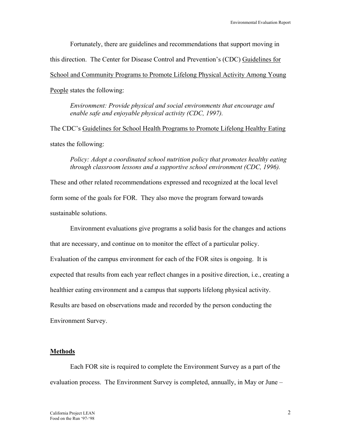Fortunately, there are guidelines and recommendations that support moving in this direction. The Center for Disease Control and Prevention's (CDC) Guidelines for School and Community Programs to Promote Lifelong Physical Activity Among Young People states the following:

*Environment: Provide physical and social environments that encourage and enable safe and enjoyable physical activity (CDC, 1997).* 

The CDC's Guidelines for School Health Programs to Promote Lifelong Healthy Eating states the following:

#### *Policy: Adopt a coordinated school nutrition policy that promotes healthy eating through classroom lessons and a supportive school environment (CDC, 1996).*

These and other related recommendations expressed and recognized at the local level form some of the goals for FOR. They also move the program forward towards sustainable solutions.

 Environment evaluations give programs a solid basis for the changes and actions that are necessary, and continue on to monitor the effect of a particular policy. Evaluation of the campus environment for each of the FOR sites is ongoing. It is expected that results from each year reflect changes in a positive direction, i.e., creating a healthier eating environment and a campus that supports lifelong physical activity. Results are based on observations made and recorded by the person conducting the Environment Survey.

#### **Methods**

 Each FOR site is required to complete the Environment Survey as a part of the evaluation process. The Environment Survey is completed, annually, in May or June –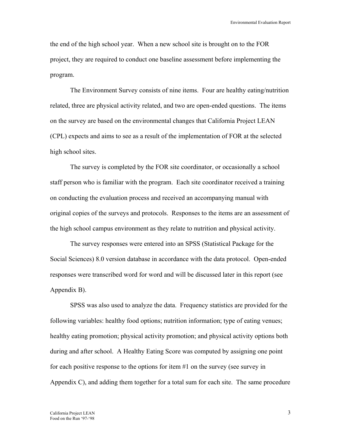the end of the high school year. When a new school site is brought on to the FOR project, they are required to conduct one baseline assessment before implementing the program.

 The Environment Survey consists of nine items. Four are healthy eating/nutrition related, three are physical activity related, and two are open-ended questions. The items on the survey are based on the environmental changes that California Project LEAN (CPL) expects and aims to see as a result of the implementation of FOR at the selected high school sites.

 The survey is completed by the FOR site coordinator, or occasionally a school staff person who is familiar with the program. Each site coordinator received a training on conducting the evaluation process and received an accompanying manual with original copies of the surveys and protocols. Responses to the items are an assessment of the high school campus environment as they relate to nutrition and physical activity.

 The survey responses were entered into an SPSS (Statistical Package for the Social Sciences) 8.0 version database in accordance with the data protocol. Open-ended responses were transcribed word for word and will be discussed later in this report (see Appendix B).

 SPSS was also used to analyze the data. Frequency statistics are provided for the following variables: healthy food options; nutrition information; type of eating venues; healthy eating promotion; physical activity promotion; and physical activity options both during and after school. A Healthy Eating Score was computed by assigning one point for each positive response to the options for item #1 on the survey (see survey in Appendix C), and adding them together for a total sum for each site. The same procedure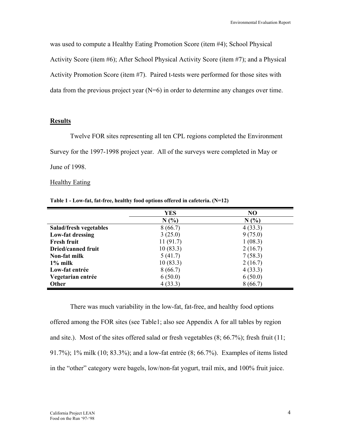was used to compute a Healthy Eating Promotion Score (item #4); School Physical Activity Score (item #6); After School Physical Activity Score (item #7); and a Physical Activity Promotion Score (item #7). Paired t-tests were performed for those sites with data from the previous project year  $(N=6)$  in order to determine any changes over time.

#### **Results**

 Twelve FOR sites representing all ten CPL regions completed the Environment Survey for the 1997-1998 project year. All of the surveys were completed in May or June of 1998.

#### Healthy Eating

|                           | YES      | NO      |
|---------------------------|----------|---------|
|                           | N(%)     | N(%     |
| Salad/fresh vegetables    | 8(66.7)  | 4(33.3) |
| Low-fat dressing          | 3(25.0)  | 9(75.0) |
| <b>Fresh fruit</b>        | 11(91.7) | 1(08.3) |
| <b>Dried/canned fruit</b> | 10(83.3) | 2(16.7) |
| Non-fat milk              | 5(41.7)  | 7(58.3) |
| $1\%$ milk                | 10(83.3) | 2(16.7) |
| Low-fat entrée            | 8(66.7)  | 4(33.3) |
| Vegetarian entrée         | 6(50.0)  | 6(50.0) |
| <b>Other</b>              | 4(33.3)  | 8(66.7) |

**Table 1 - Low-fat, fat-free, healthy food options offered in cafeteria. (N=12)** 

 There was much variability in the low-fat, fat-free, and healthy food options offered among the FOR sites (see Table1; also see Appendix A for all tables by region and site.). Most of the sites offered salad or fresh vegetables (8; 66.7%); fresh fruit (11; 91.7%); 1% milk (10; 83.3%); and a low-fat entrée (8; 66.7%). Examples of items listed in the "other" category were bagels, low/non-fat yogurt, trail mix, and 100% fruit juice.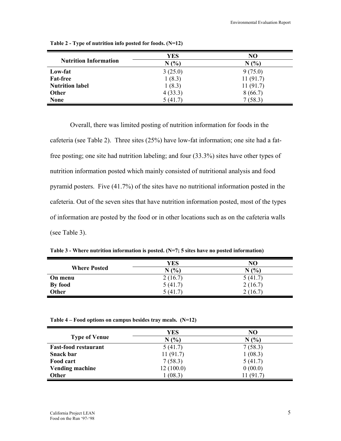| <b>Nutrition Information</b> | <b>YES</b><br>N(%) | NO<br>N(%) |
|------------------------------|--------------------|------------|
| Low-fat                      | 3(25.0)            | 9(75.0)    |
| <b>Fat-free</b>              | 1(8.3)             | 11(91.7)   |
| <b>Nutrition label</b>       | 1(8.3)             | 11(91.7)   |
| <b>Other</b>                 | 4(33.3)            | 8(66.7)    |
| <b>None</b>                  | 5(41.7)            | 7(58.3)    |

**Table 2 - Type of nutrition info posted for foods. (N=12)** 

 Overall, there was limited posting of nutrition information for foods in the cafeteria (see Table 2). Three sites (25%) have low-fat information; one site had a fatfree posting; one site had nutrition labeling; and four (33.3%) sites have other types of nutrition information posted which mainly consisted of nutritional analysis and food pyramid posters. Five (41.7%) of the sites have no nutritional information posted in the cafeteria. Out of the seven sites that have nutrition information posted, most of the types of information are posted by the food or in other locations such as on the cafeteria walls (see Table 3).

| .<br>$\alpha$ introduced the contractor is positive $\alpha$ , $\beta$ and $\beta$ in the positive interference $\beta$ |         |        |  |
|-------------------------------------------------------------------------------------------------------------------------|---------|--------|--|
|                                                                                                                         | YES     | NО     |  |
| <b>Where Posted</b>                                                                                                     | N(%     | (%)    |  |
| On menu                                                                                                                 | 2(16.7) | 5 (41. |  |

**Table 3 - Where nutrition information is posted. (N=7; 5 sites have no posted information)** 

**By food**  $5(41.7)$   $2(16.7)$ **Other** 2 (16.7) 2 (16.7)

| Table $4$ – Food options on campus besides tray meals. (N=12) |  |
|---------------------------------------------------------------|--|
|                                                               |  |

|                             | YES       | N <sub>O</sub> |
|-----------------------------|-----------|----------------|
| <b>Type of Venue</b>        | N(%       | N(%            |
| <b>Fast-food restaurant</b> | 5(41.7)   | 7(58.3)        |
| <b>Snack bar</b>            | 11(91.7)  | 1(08.3)        |
| Food cart                   | 7(58.3)   | 5(41.7)        |
| <b>Vending machine</b>      | 12(100.0) | 0(00.0)        |
| <b>Other</b>                | (08.3)    | 11 (91.7)      |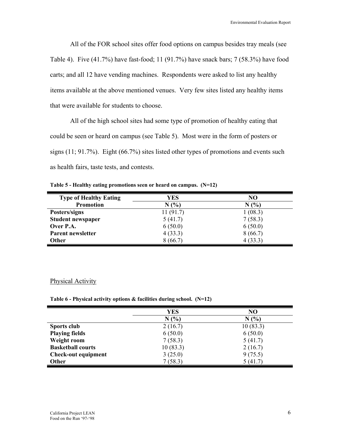All of the FOR school sites offer food options on campus besides tray meals (see Table 4). Five (41.7%) have fast-food; 11 (91.7%) have snack bars; 7 (58.3%) have food carts; and all 12 have vending machines. Respondents were asked to list any healthy items available at the above mentioned venues. Very few sites listed any healthy items that were available for students to choose.

 All of the high school sites had some type of promotion of healthy eating that could be seen or heard on campus (see Table 5). Most were in the form of posters or signs (11; 91.7%). Eight (66.7%) sites listed other types of promotions and events such as health fairs, taste tests, and contests.

**Table 5 - Healthy eating promotions seen or heard on campus. (N=12)** 

| <b>Type of Healthy Eating</b> | <b>YES</b> | NO      |
|-------------------------------|------------|---------|
| <b>Promotion</b>              | N(%)       | N(%     |
| Posters/signs                 | 11(91.7)   | 1(08.3) |
| <b>Student newspaper</b>      | 5(41.7)    | 7(58.3) |
| Over P.A.                     | 6(50.0)    | 6(50.0) |
| Parent newsletter             | 4(33.3)    | 8(66.7) |
| <b>Other</b>                  | 8(66.7)    | 4(33.3) |

#### Physical Activity

**Table 6 - Physical activity options & facilities during school. (N=12)** 

|                            | <b>YES</b> | NO       |
|----------------------------|------------|----------|
|                            |            |          |
|                            | N(%        | N(%      |
| Sports club                | 2(16.7)    | 10(83.3) |
| <b>Playing fields</b>      | 6(50.0)    | 6(50.0)  |
| Weight room                | 7(58.3)    | 5(41.7)  |
| <b>Basketball courts</b>   | 10(83.3)   | 2(16.7)  |
| <b>Check-out equipment</b> | 3(25.0)    | 9(75.5)  |
| <b>Other</b>               | 7(58.3)    | 5(41.7)  |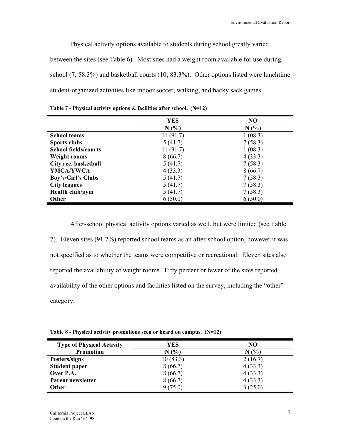Physical activity options available to students during school greatly varied between the sites (see Table 6). Most sites had a weight room available for use during school (7; 58.3%) and basketball courts (10; 83.3%). Other options listed were lunchtime student-organized activities like indoor soccer, walking, and hacky sack games.

|                             | <b>YES</b> | N <sub>O</sub> |
|-----------------------------|------------|----------------|
|                             | N(%        | N(%            |
| <b>School teams</b>         | 11(91.7)   | 1(08.3)        |
| <b>Sports clubs</b>         | 5(41.7)    | 7(58.3)        |
| <b>School fields/courts</b> | 11(91.7)   | 1(08.3)        |
| <b>Weight rooms</b>         | 8(66.7)    | 4(33.3)        |
| City rec. basketball        | 5(41.7)    | 7(58.3)        |
| YMCA/YWCA                   | 4(33.3)    | 8(66.7)        |
| Boy's/Girl's Clubs          | 5(41.7)    | 7(58.3)        |
| <b>City leagues</b>         | 5(41.7)    | 7(58.3)        |
| Health club/gym             | 5(41.7)    | 7(58.3)        |
| Other                       | 6(50.0)    | 6(50.0)        |

**Table 7 - Physical activity options & facilities after school. (N=12)** 

 After-school physical activity options varied as well, but were limited (see Table 7). Eleven sites (91.7%) reported school teams as an after-school option, however it was not specified as to whether the teams were competitive or recreational. Eleven sites also reported the availability of weight rooms. Fifty percent or fewer of the sites reported availability of the other options and facilities listed on the survey, including the "other" category.

**Table 8 - Physical activity promotions seen or heard on campus. (N=12)** 

| <b>Type of Physical Activity</b> | YES      | N <sub>O</sub> |
|----------------------------------|----------|----------------|
| <b>Promotion</b>                 | N(%      | N(%            |
| Posters/signs                    | 10(83.3) | 2(16.7)        |
| <b>Student paper</b>             | 8(66.7)  | 4(33.3)        |
| Over P.A.                        | 8(66.7)  | 4(33.3)        |
| Parent newsletter                | 8(66.7)  | 4(33.3)        |
| <b>Other</b>                     | 9(75.0)  | 3(25.0)        |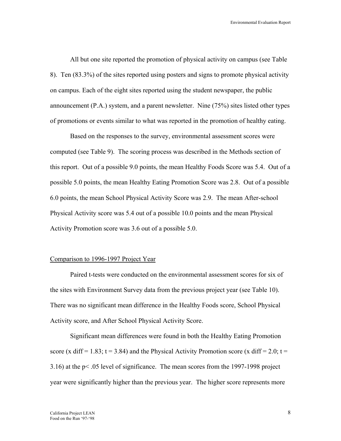All but one site reported the promotion of physical activity on campus (see Table 8). Ten (83.3%) of the sites reported using posters and signs to promote physical activity on campus. Each of the eight sites reported using the student newspaper, the public announcement (P.A.) system, and a parent newsletter. Nine (75%) sites listed other types of promotions or events similar to what was reported in the promotion of healthy eating.

 Based on the responses to the survey, environmental assessment scores were computed (see Table 9). The scoring process was described in the Methods section of this report. Out of a possible 9.0 points, the mean Healthy Foods Score was 5.4. Out of a possible 5.0 points, the mean Healthy Eating Promotion Score was 2.8. Out of a possible 6.0 points, the mean School Physical Activity Score was 2.9. The mean After-school Physical Activity score was 5.4 out of a possible 10.0 points and the mean Physical Activity Promotion score was 3.6 out of a possible 5.0.

#### Comparison to 1996-1997 Project Year

Paired t-tests were conducted on the environmental assessment scores for six of the sites with Environment Survey data from the previous project year (see Table 10). There was no significant mean difference in the Healthy Foods score, School Physical Activity score, and After School Physical Activity Score.

Significant mean differences were found in both the Healthy Eating Promotion score (x diff = 1.83; t = 3.84) and the Physical Activity Promotion score (x diff = 2.0; t = 3.16) at the p< .05 level of significance. The mean scores from the 1997-1998 project year were significantly higher than the previous year. The higher score represents more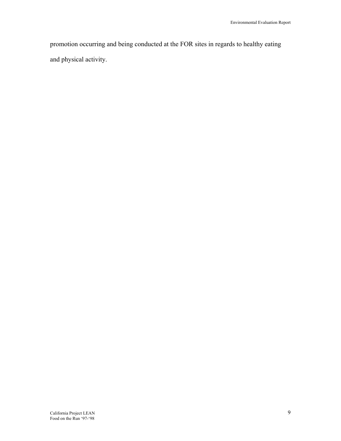promotion occurring and being conducted at the FOR sites in regards to healthy eating and physical activity.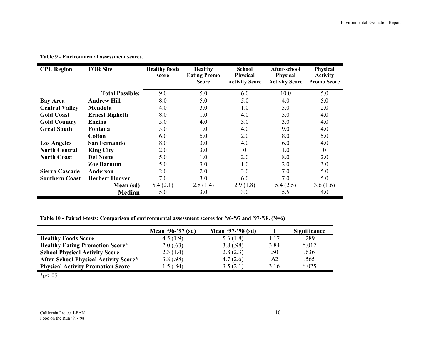| <b>CPL Region</b>     | <b>FOR Site</b>        | <b>Healthy foods</b><br>score | <b>Healthy</b><br><b>Eating Promo</b><br><b>Score</b> | <b>School</b><br><b>Physical</b><br><b>Activity Score</b> | After-school<br>Physical<br><b>Activity Score</b> | Physical<br><b>Activity</b><br><b>Promo Score</b> |
|-----------------------|------------------------|-------------------------------|-------------------------------------------------------|-----------------------------------------------------------|---------------------------------------------------|---------------------------------------------------|
|                       | <b>Total Possible:</b> | 9.0                           | 5.0                                                   | 6.0                                                       | 10.0                                              | 5.0                                               |
| <b>Bay Area</b>       | <b>Andrew Hill</b>     | 8.0                           | 5.0                                                   | 5.0                                                       | 4.0                                               | 5.0                                               |
| <b>Central Valley</b> | Mendota                | 4.0                           | 3.0                                                   | 1.0                                                       | 5.0                                               | 2.0                                               |
| <b>Gold Coast</b>     | <b>Ernest Righetti</b> | 8.0                           | 1.0                                                   | 4.0                                                       | 5.0                                               | 4.0                                               |
| <b>Gold Country</b>   | Encina                 | 5.0                           | 4.0                                                   | 3.0                                                       | 3.0                                               | 4.0                                               |
| <b>Great South</b>    | Fontana                | 5.0                           | 1.0                                                   | 4.0                                                       | 9.0                                               | 4.0                                               |
|                       | Colton                 | 6.0                           | 5.0                                                   | 2.0                                                       | 8.0                                               | 5.0                                               |
| <b>Los Angeles</b>    | <b>San Fernando</b>    | 8.0                           | 3.0                                                   | 4.0                                                       | 6.0                                               | 4.0                                               |
| <b>North Central</b>  | <b>King City</b>       | 2.0                           | 3.0                                                   | $\boldsymbol{0}$                                          | 1.0                                               | $\boldsymbol{0}$                                  |
| <b>North Coast</b>    | <b>Del Norte</b>       | 5.0                           | 1.0                                                   | 2.0                                                       | 8.0                                               | 2.0                                               |
|                       | Zoe Barnum             | 5.0                           | 3.0                                                   | 1.0                                                       | 2.0                                               | 3.0                                               |
| <b>Sierra Cascade</b> | Anderson               | 2.0                           | 2.0                                                   | 3.0                                                       | 7.0                                               | 5.0                                               |
| <b>Southern Coast</b> | <b>Herbert Hoover</b>  | 7.0                           | 3.0                                                   | 6.0                                                       | 7.0                                               | 5.0                                               |
|                       | Mean (sd)              | 5.4(2.1)                      | 2.8(1.4)                                              | 2.9(1.8)                                                  | 5.4(2.5)                                          | 3.6(1.6)                                          |
|                       | <b>Median</b>          | 5.0                           | 3.0                                                   | 3.0                                                       | 5.5                                               | 4.0                                               |

**Table 9 - Environmental assessment scores.** 

**Table 10 - Paired t-tests: Comparison of environmental assessment scores for '96-'97 and '97-'98. (N=6)** 

|                                              | Mean '96-'97 (sd) | Mean '97-'98 (sd) |      | Significance |
|----------------------------------------------|-------------------|-------------------|------|--------------|
| <b>Healthy Foods Score</b>                   | 4.5(1.9)          | 5.3(1.8)          | 1.17 | .289         |
| <b>Healthy Eating Promotion Score*</b>       | 2.0(.63)          | 3.8(.98)          | 3.84 | $*012$       |
| <b>School Physical Activity Score</b>        | 2.3(1.4)          | 2.8(2.3)          | .50  | .636         |
| <b>After-School Physical Activity Score*</b> | 3.8(.98)          | 4.7(2.6)          | .62  | .565         |
| <b>Physical Activity Promotion Score</b>     | 1.5(0.84)         | 3.5(2.1)          | 3.16 | $*025$       |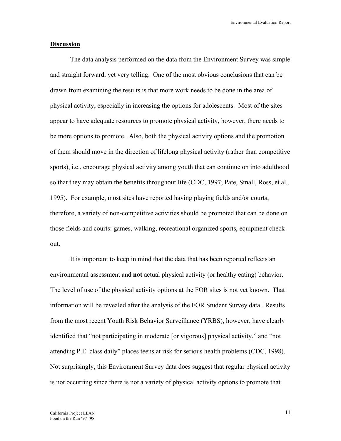#### **Discussion**

 The data analysis performed on the data from the Environment Survey was simple and straight forward, yet very telling. One of the most obvious conclusions that can be drawn from examining the results is that more work needs to be done in the area of physical activity, especially in increasing the options for adolescents. Most of the sites appear to have adequate resources to promote physical activity, however, there needs to be more options to promote. Also, both the physical activity options and the promotion of them should move in the direction of lifelong physical activity (rather than competitive sports), i.e., encourage physical activity among youth that can continue on into adulthood so that they may obtain the benefits throughout life (CDC, 1997; Pate, Small, Ross, et al., 1995). For example, most sites have reported having playing fields and/or courts, therefore, a variety of non-competitive activities should be promoted that can be done on those fields and courts: games, walking, recreational organized sports, equipment checkout.

 It is important to keep in mind that the data that has been reported reflects an environmental assessment and **not** actual physical activity (or healthy eating) behavior. The level of use of the physical activity options at the FOR sites is not yet known. That information will be revealed after the analysis of the FOR Student Survey data. Results from the most recent Youth Risk Behavior Surveillance (YRBS), however, have clearly identified that "not participating in moderate [or vigorous] physical activity," and "not attending P.E. class daily" places teens at risk for serious health problems (CDC, 1998). Not surprisingly, this Environment Survey data does suggest that regular physical activity is not occurring since there is not a variety of physical activity options to promote that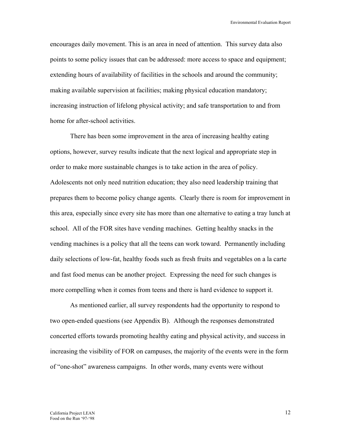encourages daily movement. This is an area in need of attention. This survey data also points to some policy issues that can be addressed: more access to space and equipment; extending hours of availability of facilities in the schools and around the community; making available supervision at facilities; making physical education mandatory; increasing instruction of lifelong physical activity; and safe transportation to and from home for after-school activities.

 There has been some improvement in the area of increasing healthy eating options, however, survey results indicate that the next logical and appropriate step in order to make more sustainable changes is to take action in the area of policy. Adolescents not only need nutrition education; they also need leadership training that prepares them to become policy change agents. Clearly there is room for improvement in this area, especially since every site has more than one alternative to eating a tray lunch at school. All of the FOR sites have vending machines. Getting healthy snacks in the vending machines is a policy that all the teens can work toward. Permanently including daily selections of low-fat, healthy foods such as fresh fruits and vegetables on a la carte and fast food menus can be another project. Expressing the need for such changes is more compelling when it comes from teens and there is hard evidence to support it.

 As mentioned earlier, all survey respondents had the opportunity to respond to two open-ended questions (see Appendix B). Although the responses demonstrated concerted efforts towards promoting healthy eating and physical activity, and success in increasing the visibility of FOR on campuses, the majority of the events were in the form of "one-shot" awareness campaigns. In other words, many events were without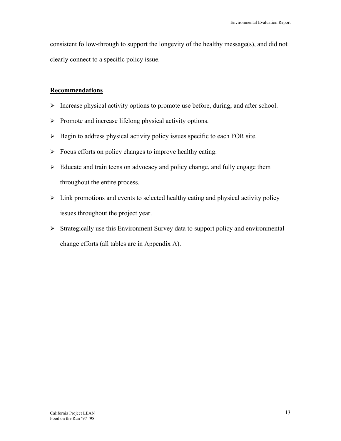consistent follow-through to support the longevity of the healthy message(s), and did not clearly connect to a specific policy issue.

#### **Recommendations**

- $\triangleright$  Increase physical activity options to promote use before, during, and after school.
- ¾ Promote and increase lifelong physical activity options.
- $\triangleright$  Begin to address physical activity policy issues specific to each FOR site.
- $\triangleright$  Focus efforts on policy changes to improve healthy eating.
- $\triangleright$  Educate and train teens on advocacy and policy change, and fully engage them throughout the entire process.
- $\triangleright$  Link promotions and events to selected healthy eating and physical activity policy issues throughout the project year.
- $\triangleright$  Strategically use this Environment Survey data to support policy and environmental change efforts (all tables are in Appendix A).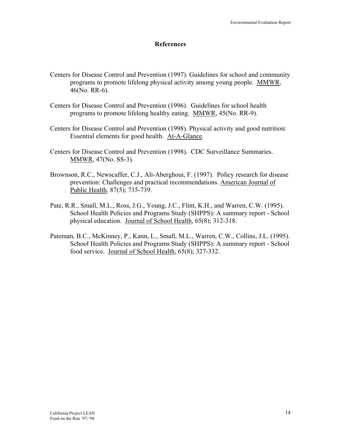#### **References**

- Centers for Disease Control and Prevention (1997). Guidelines for school and community programs to promote lifelong physical activity among young people. MMWR, 46(No. RR-6).
- Centers for Disease Control and Prevention (1996). Guidelines for school health programs to promote lifelong healthy eating. MMWR, 45(No. RR-9).
- Centers for Disease Control and Prevention (1998). Physical activity and good nutrition: Essential elements for good health. At-A-Glance.
- Centers for Disease Control and Prevention (1998). CDC Surveillance Summaries. MMWR, 47(No. SS-3).
- Brownson, R.C., Newscaffer, C.J., Ali-Aberghoui, F. (1997). Policy research for disease prevention: Challenges and practical recommendations. American Journal of Public Health, 87(5); 735-739.
- Pate, R.R., Small, M.L., Ross, J.G., Young, J.C., Flint, K.H., and Warren, C.W. (1995). School Health Policies and Programs Study (SHPPS): A summary report - School physical education. Journal of School Health, 65(8); 312-318.
- Pateman, B.C., McKinney, P., Kann, L., Small, M.L., Warren, C.W., Collins, J.L. (1995). School Health Policies and Programs Study (SHPPS): A summary report - School food service. Journal of School Health, 65(8); 327-332.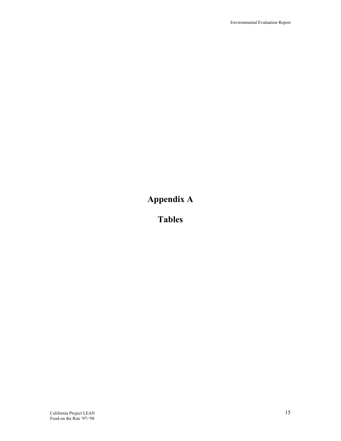# **Appendix A**

**Tables**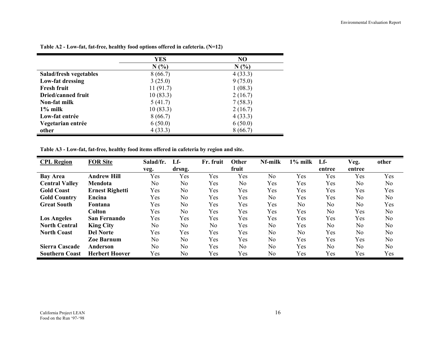|                           | <b>YES</b> | NO      |
|---------------------------|------------|---------|
|                           | N(%        | N(%     |
| Salad/fresh vegetables    | 8(66.7)    | 4(33.3) |
| Low-fat dressing          | 3(25.0)    | 9(75.0) |
| <b>Fresh fruit</b>        | 11(91.7)   | 1(08.3) |
| <b>Dried/canned fruit</b> | 10(83.3)   | 2(16.7) |
| Non-fat milk              | 5(41.7)    | 7(58.3) |
| $1\%$ milk                | 10(83.3)   | 2(16.7) |
| Low-fat entrée            | 8(66.7)    | 4(33.3) |
| Vegetarian entrée         | 6(50.0)    | 6(50.0) |
| other                     | 4(33.3)    | 8(66.7) |

**Table A2 - Low-fat, fat-free, healthy food options offered in cafeteria. (N=12)** 

**Table A3 - Low-fat, fat-free, healthy food items offered in cafeteria by region and site.** 

| <b>CPL Region</b>     | <b>FOR Site</b>        | Salad/fr.      | Lf-            | Fr. fruit      | <b>Other</b> | Nf-milk        | $1\%$ milk     | $Lf -$ | Veg.           | other          |
|-----------------------|------------------------|----------------|----------------|----------------|--------------|----------------|----------------|--------|----------------|----------------|
|                       |                        | veg.           | drsng.         |                | fruit        |                |                | entree | entree         |                |
| <b>Bay Area</b>       | <b>Andrew Hill</b>     | Yes            | Yes            | Yes            | Yes          | No             | Yes            | Yes    | Yes            | Yes            |
| <b>Central Valley</b> | Mendota                | No.            | No             | Yes            | No           | Yes            | Yes            | Yes    | N <sub>o</sub> | N <sub>0</sub> |
| <b>Gold Coast</b>     | <b>Ernest Righetti</b> | Yes            | N <sub>o</sub> | Yes            | Yes          | Yes            | Yes            | Yes    | Yes            | Yes            |
| <b>Gold Country</b>   | Encina                 | Yes            | No             | Yes            | Yes          | N <sub>o</sub> | Yes            | Yes    | N <sub>o</sub> | N <sub>0</sub> |
| <b>Great South</b>    | Fontana                | Yes            | N <sub>o</sub> | Yes            | Yes          | Yes            | N <sub>o</sub> | No     | N <sub>o</sub> | Yes            |
|                       | <b>Colton</b>          | Yes            | N <sub>0</sub> | Yes            | Yes          | Yes            | Yes            | No     | Yes            | N <sub>0</sub> |
| <b>Los Angeles</b>    | <b>San Fernando</b>    | Yes            | Yes            | Yes            | Yes          | Yes            | Yes            | Yes    | Yes            | N <sub>0</sub> |
| <b>North Central</b>  | <b>King City</b>       | N <sub>0</sub> | N <sub>0</sub> | N <sub>0</sub> | Yes          | N <sub>o</sub> | Yes            | No     | N <sub>o</sub> | N <sub>0</sub> |
| <b>North Coast</b>    | <b>Del Norte</b>       | Yes            | Yes            | Yes            | Yes          | No             | N <sub>o</sub> | Yes    | N <sub>o</sub> | N <sub>0</sub> |
|                       | <b>Zoe Barnum</b>      | N <sub>o</sub> | N <sub>o</sub> | Yes            | Yes          | N <sub>o</sub> | Yes            | Yes    | Yes            | N <sub>0</sub> |
| Sierra Cascade        | Anderson               | N <sub>o</sub> | N <sub>o</sub> | Yes            | No           | N <sub>o</sub> | Yes            | No     | N <sub>o</sub> | N <sub>0</sub> |
| <b>Southern Coast</b> | <b>Herbert Hoover</b>  | Yes            | N <sub>o</sub> | Yes            | Yes          | No             | Yes            | Yes    | Yes            | Yes            |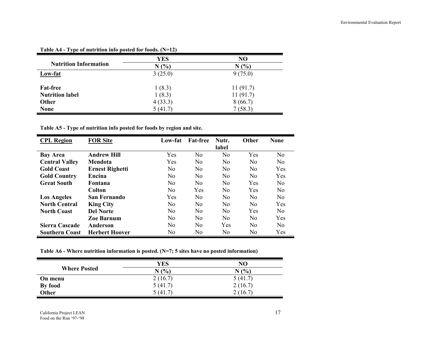|                              | <b>YES</b> | N <sub>O</sub> |
|------------------------------|------------|----------------|
| <b>Nutrition Information</b> | N(%        | N(%)           |
| Low-fat                      | 3(25.0)    | 9(75.0)        |
|                              |            |                |
| <b>Fat-free</b>              | 1(8.3)     | 11(91.7)       |
| <b>Nutrition label</b>       | 1(8.3)     | 11(91.7)       |
| Other                        | 4(33.3)    | 8(66.7)        |
| <b>None</b>                  | 5(41.7)    | 7(58.3)        |

**Table A4 - Type of nutrition info posted for foods. (N=12)** 

**Table A5 - Type of nutrition info posted for foods by region and site.** 

| <b>CPL Region</b>     | <b>FOR Site</b>        | Low-fat        | <b>Fat-free</b> | Nutr.          | <b>Other</b>   | <b>None</b>    |
|-----------------------|------------------------|----------------|-----------------|----------------|----------------|----------------|
|                       |                        |                |                 | label          |                |                |
| <b>Bay Area</b>       | <b>Andrew Hill</b>     | Yes            | N <sub>0</sub>  | No             | Yes            | N <sub>o</sub> |
| <b>Central Valley</b> | Mendota                | Yes            | N <sub>0</sub>  | N <sub>0</sub> | N <sub>0</sub> | N <sub>0</sub> |
| <b>Gold Coast</b>     | <b>Ernest Righetti</b> | N <sub>0</sub> | N <sub>0</sub>  | N <sub>0</sub> | N <sub>0</sub> | Yes            |
| <b>Gold Country</b>   | Encina                 | N <sub>0</sub> | N <sub>0</sub>  | N <sub>0</sub> | N <sub>0</sub> | Yes            |
| <b>Great South</b>    | <b>Fontana</b>         | N <sub>0</sub> | N <sub>0</sub>  | No             | Yes            | N <sub>0</sub> |
|                       | Colton                 | N <sub>0</sub> | Yes             | N <sub>0</sub> | Yes            | N <sub>0</sub> |
| <b>Los Angeles</b>    | San Fernando           | Yes            | N <sub>0</sub>  | N <sub>0</sub> | N <sub>0</sub> | N <sub>0</sub> |
| <b>North Central</b>  | <b>King City</b>       | N <sub>0</sub> | No              | N <sub>0</sub> | N <sub>0</sub> | Yes            |
| <b>North Coast</b>    | <b>Del Norte</b>       | N <sub>o</sub> | No              | No             | Yes            | N <sub>0</sub> |
|                       | Zoe Barnum             | N <sub>0</sub> | N <sub>0</sub>  | N <sub>0</sub> | N <sub>0</sub> | <b>Yes</b>     |
| Sierra Cascade        | Anderson               | N <sub>0</sub> | N <sub>0</sub>  | Yes            | N <sub>0</sub> | N <sub>0</sub> |
| <b>Southern Coast</b> | <b>Herbert Hoover</b>  | N <sub>0</sub> | N <sub>0</sub>  | N <sub>0</sub> | No             | Yes            |

**Table A6 - Where nutrition information is posted. (N=7; 5 sites have no posted information)** 

|                     | YES     | NO      |
|---------------------|---------|---------|
| <b>Where Posted</b> | N(%)    | N(%     |
| On menu             | 2(16.7) | 5(41.7) |
| By food             | 5(41.7) | 2(16.7) |
| Other               | 5 (41.  | 16.7    |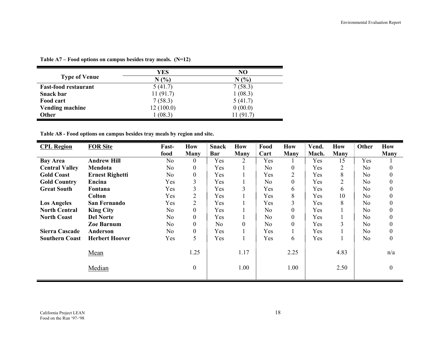|                             | YES       | N <sub>O</sub> |
|-----------------------------|-----------|----------------|
| <b>Type of Venue</b>        | N(%       | N(%            |
| <b>Fast-food restaurant</b> | 5(41.7)   | 7(58.3)        |
| Snack bar                   | 11(91.7)  | 1(08.3)        |
| Food cart                   | 7(58.3)   | 5(41.7)        |
| <b>Vending machine</b>      | 12(100.0) | 0(00.0)        |
| <b>Other</b>                | (08.3)    | 11 (91.7)      |

**Table A7 – Food options on campus besides tray meals. (N=12)** 

**Table A8 - Food options on campus besides tray meals by region and site.** 

| <b>CPL Region</b>     | <b>FOR Site</b>        | Fast-          | <b>How</b>       | <b>Snack</b>   | <b>How</b>  | Food           | How            | Vend. | <b>How</b>     | Other          | <b>How</b>       |
|-----------------------|------------------------|----------------|------------------|----------------|-------------|----------------|----------------|-------|----------------|----------------|------------------|
|                       |                        | food           | <b>Many</b>      | Bar            | <b>Many</b> | Cart           | Many           | Mach. | Many           |                | Many             |
| <b>Bay Area</b>       | <b>Andrew Hill</b>     | N <sub>0</sub> | $\theta$         | Yes            | 2           | Yes            |                | Yes   | 15             | Yes            |                  |
| <b>Central Valley</b> | Mendota                | N <sub>0</sub> | $\overline{0}$   | Yes            |             | N <sub>o</sub> | $\overline{0}$ | Yes   | $\overline{2}$ | No             | $\theta$         |
| <b>Gold Coast</b>     | <b>Ernest Righetti</b> | No             | $\boldsymbol{0}$ | Yes            |             | Yes            | 2              | Yes   | 8              | N <sub>o</sub> | $\theta$         |
| <b>Gold Country</b>   | Encina                 | Yes            | 3                | Yes            |             | N <sub>o</sub> | 0              | Yes   | $\overline{2}$ | N <sub>o</sub> |                  |
| <b>Great South</b>    | Fontana                | Yes            | 3                | Yes            | 3           | Yes            | 6              | Yes   | 6              | No             | 0                |
|                       | Colton                 | Yes            | $\overline{2}$   | Yes            |             | Yes            | 8              | Yes   | 10             | N <sub>o</sub> | $\boldsymbol{0}$ |
| <b>Los Angeles</b>    | <b>San Fernando</b>    | Yes            | $\overline{2}$   | Yes            |             | Yes            | 3              | Yes   | 8              | N <sub>o</sub> | $\boldsymbol{0}$ |
| <b>North Central</b>  | <b>King City</b>       | N <sub>o</sub> | $\mathbf{0}$     | Yes            |             | N <sub>0</sub> | $\overline{0}$ | Yes   |                | N <sub>o</sub> | $\theta$         |
| <b>North Coast</b>    | <b>Del Norte</b>       | N <sub>o</sub> | $\overline{0}$   | Yes            |             | N <sub>0</sub> | $\overline{0}$ | Yes   |                | N <sub>o</sub> | $\boldsymbol{0}$ |
|                       | <b>Zoe Barnum</b>      | N <sub>o</sub> | $\overline{0}$   | N <sub>0</sub> | $\Omega$    | N <sub>o</sub> | $\overline{0}$ | Yes   | 3              | N <sub>o</sub> | $\boldsymbol{0}$ |
| <b>Sierra Cascade</b> | Anderson               | N <sub>o</sub> | $\boldsymbol{0}$ | Yes            |             | Yes            |                | Yes   |                | N <sub>o</sub> | $\boldsymbol{0}$ |
| <b>Southern Coast</b> | <b>Herbert Hoover</b>  | Yes            | 5                | Yes            |             | Yes            | 6              | Yes   |                | N <sub>o</sub> | $\boldsymbol{0}$ |
|                       | Mean                   |                | 1.25             |                | 1.17        |                | 2.25           |       | 4.83           |                | n/a              |
|                       | Median                 |                | $\boldsymbol{0}$ |                | 1.00        |                | 1.00           |       | 2.50           |                | $\boldsymbol{0}$ |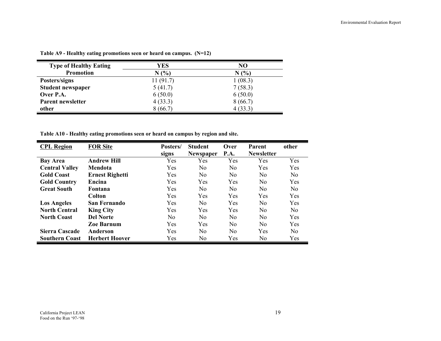| <b>Type of Healthy Eating</b> | YES      | NO      |
|-------------------------------|----------|---------|
| <b>Promotion</b>              | N(%      | (%)     |
| Posters/signs                 | 11(91.7) | 1(08.3) |
| <b>Student newspaper</b>      | 5(41.7)  | 7(58.3) |
| Over P.A.                     | 6(50.0)  | 6(50.0) |
| Parent newsletter             | 4(33.3)  | 8(66.7) |
| other                         | 8(66.7)  | 4(33.3) |

**Table A9 - Healthy eating promotions seen or heard on campus. (N=12)** 

**Table A10 - Healthy eating promotions seen or heard on campus by region and site.** 

| <b>CPL Region</b>     | <b>FOR Site</b>        | Posters/<br>signs | <b>Student</b><br><b>Newspaper</b> | Over<br><b>P.A.</b> | Parent<br><b>Newsletter</b> | other          |
|-----------------------|------------------------|-------------------|------------------------------------|---------------------|-----------------------------|----------------|
| <b>Bay Area</b>       | <b>Andrew Hill</b>     | Yes               | Yes                                | Yes                 | Yes                         | Yes            |
| <b>Central Valley</b> | Mendota                | Yes               | No.                                | No                  | Yes                         | Yes            |
| <b>Gold Coast</b>     | <b>Ernest Righetti</b> | Yes               | No                                 | N <sub>0</sub>      | No                          | N <sub>0</sub> |
| <b>Gold Country</b>   | Encina                 | <b>Yes</b>        | Yes                                | Yes                 | N <sub>0</sub>              | Yes            |
| <b>Great South</b>    | Fontana                | Yes               | No                                 | N <sub>0</sub>      | No                          | N <sub>0</sub> |
|                       | Colton                 | Yes               | Yes                                | Yes                 | Yes                         | Yes            |
| <b>Los Angeles</b>    | San Fernando           | Yes               | No                                 | Yes                 | N <sub>o</sub>              | Yes            |
| <b>North Central</b>  | <b>King City</b>       | Yes               | Yes                                | Yes                 | N <sub>0</sub>              | N <sub>0</sub> |
| <b>North Coast</b>    | <b>Del Norte</b>       | No.               | No.                                | No                  | N <sub>0</sub>              | Yes            |
|                       | <b>Zoe Barnum</b>      | Yes               | Yes                                | N <sub>0</sub>      | N <sub>0</sub>              | Yes            |
| Sierra Cascade        | Anderson               | Yes               | No                                 | N <sub>0</sub>      | Yes                         | N <sub>0</sub> |
| <b>Southern Coast</b> | <b>Herbert Hoover</b>  | Yes               | No                                 | Yes                 | N <sub>0</sub>              | Yes            |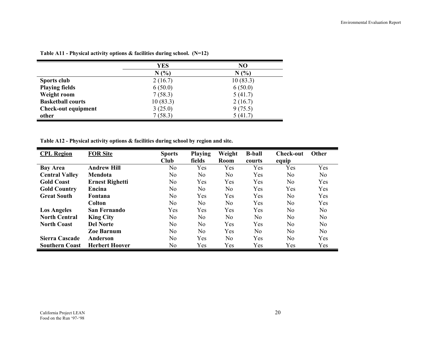|                            | YES      | N <sub>O</sub> |
|----------------------------|----------|----------------|
|                            | N(%)     | N(%)           |
| Sports club                | 2(16.7)  | 10(83.3)       |
| <b>Playing fields</b>      | 6(50.0)  | 6(50.0)        |
| Weight room                | 7(58.3)  | 5(41.7)        |
| <b>Basketball courts</b>   | 10(83.3) | 2(16.7)        |
| <b>Check-out equipment</b> | 3(25.0)  | 9(75.5)        |
| other                      | 7(58.3)  | 5(41.7)        |

**Table A11 - Physical activity options & facilities during school. (N=12)** 

**Table A12 - Physical activity options & facilities during school by region and site.** 

| <b>CPL Region</b>     | <b>FOR Site</b>        | <b>Sports</b><br>Club | <b>Playing</b><br>fields | Weight<br>Room | <b>B-ball</b><br>courts | <b>Check-out</b><br>equip | <b>Other</b> |
|-----------------------|------------------------|-----------------------|--------------------------|----------------|-------------------------|---------------------------|--------------|
| <b>Bay Area</b>       | <b>Andrew Hill</b>     | No                    | Yes                      | Yes            | Yes                     | Yes                       | Yes          |
| <b>Central Valley</b> | Mendota                | No                    | N <sub>0</sub>           | N <sub>0</sub> | Yes                     | No                        | No           |
| <b>Gold Coast</b>     | <b>Ernest Righetti</b> | N <sub>0</sub>        | Yes                      | Yes            | Yes                     | No.                       | Yes          |
| <b>Gold Country</b>   | Encina                 | No                    | N <sub>0</sub>           | N <sub>0</sub> | Yes                     | Yes                       | Yes          |
| <b>Great South</b>    | <b>Fontana</b>         | No                    | Yes                      | Yes            | Yes                     | No                        | Yes          |
|                       | <b>Colton</b>          | No.                   | No.                      | N <sub>0</sub> | Yes                     | N <sub>0</sub>            | Yes          |
| <b>Los Angeles</b>    | <b>San Fernando</b>    | Yes                   | Yes                      | Yes            | Yes                     | No.                       | No           |
| <b>North Central</b>  | <b>King City</b>       | No                    | No.                      | No             | No.                     | No                        | No           |
| <b>North Coast</b>    | <b>Del Norte</b>       | No                    | N <sub>0</sub>           | Yes            | Yes                     | No.                       | No           |
|                       | <b>Zoe Barnum</b>      | No.                   | No.                      | Yes            | No.                     | No.                       | No.          |
| Sierra Cascade        | Anderson               | No                    | Yes                      | N <sub>0</sub> | Yes                     | No.                       | Yes          |
| <b>Southern Coast</b> | <b>Herbert Hoover</b>  | No                    | Yes                      | Yes            | Yes                     | Yes                       | Yes          |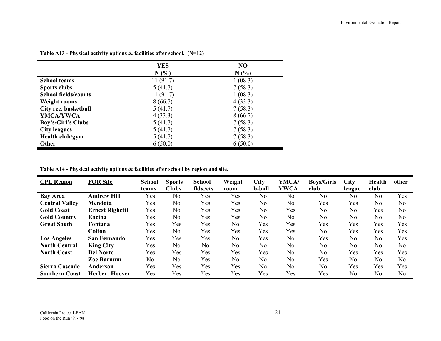|                             | <b>YES</b> | NO      |
|-----------------------------|------------|---------|
|                             | N(%        | N(%     |
| <b>School teams</b>         | 11(91.7)   | 1(08.3) |
| <b>Sports clubs</b>         | 5(41.7)    | 7(58.3) |
| <b>School fields/courts</b> | 11(91.7)   | 1(08.3) |
| <b>Weight rooms</b>         | 8(66.7)    | 4(33.3) |
| City rec. basketball        | 5(41.7)    | 7(58.3) |
| YMCA/YWCA                   | 4(33.3)    | 8(66.7) |
| Boy's/Girl's Clubs          | 5(41.7)    | 7(58.3) |
| <b>City leagues</b>         | 5(41.7)    | 7(58.3) |
| Health club/gym             | 5(41.7)    | 7(58.3) |
| <b>Other</b>                | 6(50.0)    | 6(50.0) |

**Table A13 - Physical activity options & facilities after school. (N=12)** 

**Table A14 - Physical activity options & facilities after school by region and site.** 

| <b>CPL Region</b>     | <b>FOR Site</b>        | <b>School</b>  | <b>Sports</b>  | <b>School</b>  | Weight         | <b>City</b>    | YMCA/          | <b>Boys/Girls</b> | City           | <b>Health</b>  | other |
|-----------------------|------------------------|----------------|----------------|----------------|----------------|----------------|----------------|-------------------|----------------|----------------|-------|
|                       |                        | teams          | <b>Clubs</b>   | flds./cts.     | room           | <b>b-ball</b>  | <b>YWCA</b>    | club              | league         | club           |       |
| <b>Bay Area</b>       | Andrew Hill            | Yes            | N <sub>o</sub> | Yes            | Yes            | N <sub>0</sub> | No.            | N <sub>o</sub>    | No             | N <sub>o</sub> | Yes   |
| <b>Central Valley</b> | Mendota                | Yes            | N <sub>0</sub> | Yes            | Yes            | N <sub>0</sub> | N <sub>0</sub> | Yes               | Yes            | No             | No    |
| <b>Gold Coast</b>     | <b>Ernest Righetti</b> | Yes            | No             | Yes            | Yes            | No             | Yes            | No                | No             | Yes            | No    |
| <b>Gold Country</b>   | Encina                 | Yes            | N <sub>o</sub> | Yes            | Yes            | N <sub>0</sub> | No             | N <sub>0</sub>    | N <sub>o</sub> | No             | No    |
| <b>Great South</b>    | Fontana                | Yes            | Yes            | Yes            | N <sub>0</sub> | Yes            | Yes            | Yes               | Yes            | Yes            | Yes   |
|                       | <b>Colton</b>          | Yes            | N <sub>o</sub> | Yes            | Yes            | Yes            | Yes            | No                | Yes            | Yes            | Yes   |
| <b>Los Angeles</b>    | San Fernando           | Yes            | Yes            | Yes            | N <sub>0</sub> | Yes            | N <sub>0</sub> | Yes               | N <sub>0</sub> | N <sub>o</sub> | Yes   |
| <b>North Central</b>  | <b>King City</b>       | Yes            | N <sub>0</sub> | N <sub>0</sub> | N <sub>0</sub> | N <sub>0</sub> | No             | N <sub>0</sub>    | N <sub>0</sub> | N <sub>o</sub> | No    |
| <b>North Coast</b>    | <b>Del Norte</b>       | Yes            | Yes            | Yes            | Yes            | Yes            | No             | No                | Yes            | Yes            | Yes   |
|                       | <b>Zoe Barnum</b>      | N <sub>0</sub> | N <sub>o</sub> | Yes            | No             | No             | No             | Yes               | N <sub>0</sub> | No             | No    |
| <b>Sierra Cascade</b> | Anderson               | Yes            | Yes            | Yes            | Yes            | No             | N <sub>0</sub> | N <sub>o</sub>    | Yes            | Yes            | Yes   |
| <b>Southern Coast</b> | <b>Herbert Hoover</b>  | Yes            | Yes            | Yes            | Yes            | Yes            | Yes            | Yes               | N <sub>0</sub> | No             | No    |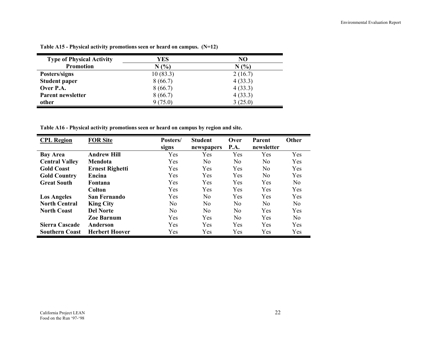| <b>Type of Physical Activity</b> | YES      | NO      |
|----------------------------------|----------|---------|
| <b>Promotion</b>                 | N(%      | N(%     |
| Posters/signs                    | 10(83.3) | 2(16.7) |
| <b>Student paper</b>             | 8(66.7)  | 4(33.3) |
| Over P.A.                        | 8(66.7)  | 4(33.3) |
| Parent newsletter                | 8(66.7)  | 4(33.3) |
| other                            | 9(75.0)  | 3(25.0) |

**Table A15 - Physical activity promotions seen or heard on campus. (N=12)** 

**Table A16 - Physical activity promotions seen or heard on campus by region and site.** 

| <b>CPL Region</b>     | <b>FOR Site</b>        | Posters/<br>signs | <b>Student</b><br>newspapers | Over<br>P.A.   | Parent<br>newsletter | Other          |
|-----------------------|------------------------|-------------------|------------------------------|----------------|----------------------|----------------|
| <b>Bay Area</b>       | <b>Andrew Hill</b>     | Yes               | Yes                          | Yes            | Yes                  | Yes            |
| <b>Central Valley</b> | Mendota                | Yes               | N <sub>0</sub>               | N <sub>0</sub> | N <sub>0</sub>       | Yes            |
| <b>Gold Coast</b>     | <b>Ernest Righetti</b> | Yes               | Yes                          | Yes            | N <sub>0</sub>       | Yes            |
| <b>Gold Country</b>   | Encina                 | Yes               | Yes                          | Yes            | N <sub>0</sub>       | Yes            |
| <b>Great South</b>    | <b>Fontana</b>         | Yes               | Yes                          | Yes            | Yes                  | N <sub>0</sub> |
|                       | <b>Colton</b>          | Yes               | Yes                          | Yes            | Yes                  | Yes            |
| <b>Los Angeles</b>    | San Fernando           | Yes               | No                           | Yes            | Yes                  | Yes            |
| <b>North Central</b>  | <b>King City</b>       | No                | No                           | N <sub>0</sub> | N <sub>0</sub>       | N <sub>0</sub> |
| <b>North Coast</b>    | <b>Del Norte</b>       | N <sub>0</sub>    | No                           | No.            | Yes                  | Yes            |
|                       | <b>Zoe Barnum</b>      | Yes               | <b>Yes</b>                   | N <sub>0</sub> | <b>Yes</b>           | N <sub>0</sub> |
| Sierra Cascade        | Anderson               | Yes               | <b>Yes</b>                   | Yes            | <b>Yes</b>           | Yes            |
| <b>Southern Coast</b> | <b>Herbert Hoover</b>  | Yes               | Yes                          | Yes            | Yes                  | Yes            |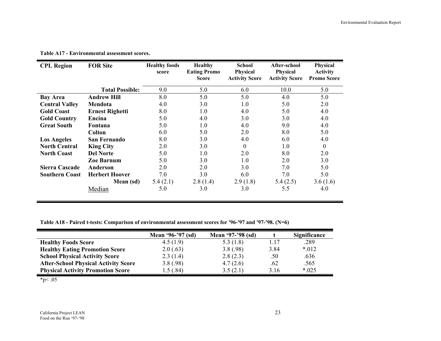=

| <b>CPL Region</b>     | <b>FOR Site</b>        | <b>Healthy foods</b><br>score | <b>Healthy</b><br><b>Eating Promo</b><br><b>Score</b> | <b>School</b><br><b>Physical</b><br><b>Activity Score</b> | After-school<br><b>Physical</b><br><b>Activity Score</b> | Physical<br><b>Activity</b><br><b>Promo Score</b> |
|-----------------------|------------------------|-------------------------------|-------------------------------------------------------|-----------------------------------------------------------|----------------------------------------------------------|---------------------------------------------------|
|                       | <b>Total Possible:</b> | 9.0                           | 5.0                                                   | 6.0                                                       | 10.0                                                     | 5.0                                               |
| <b>Bay Area</b>       | <b>Andrew Hill</b>     | 8.0                           | 5.0                                                   | 5.0                                                       | 4.0                                                      | 5.0                                               |
| <b>Central Valley</b> | Mendota                | 4.0                           | 3.0                                                   | 1.0                                                       | 5.0                                                      | 2.0                                               |
| <b>Gold Coast</b>     | <b>Ernest Righetti</b> | 8.0                           | 1.0                                                   | 4.0                                                       | 5.0                                                      | 4.0                                               |
| <b>Gold Country</b>   | Encina                 | 5.0                           | 4.0                                                   | 3.0                                                       | 3.0                                                      | 4.0                                               |
| <b>Great South</b>    | Fontana                | 5.0                           | 1.0                                                   | 4.0                                                       | 9.0                                                      | 4.0                                               |
|                       | Colton                 | 6.0                           | 5.0                                                   | 2.0                                                       | 8.0                                                      | 5.0                                               |
| <b>Los Angeles</b>    | San Fernando           | 8.0                           | 3.0                                                   | 4.0                                                       | 6.0                                                      | 4.0                                               |
| <b>North Central</b>  | <b>King City</b>       | 2.0                           | 3.0                                                   | $\boldsymbol{0}$                                          | 1.0                                                      | $\boldsymbol{0}$                                  |
| <b>North Coast</b>    | <b>Del Norte</b>       | 5.0                           | 1.0                                                   | 2.0                                                       | 8.0                                                      | 2.0                                               |
|                       | Zoe Barnum             | 5.0                           | 3.0                                                   | 1.0                                                       | 2.0                                                      | 3.0                                               |
| Sierra Cascade        | Anderson               | 2.0                           | 2.0                                                   | 3.0                                                       | 7.0                                                      | 5.0                                               |
| <b>Southern Coast</b> | <b>Herbert Hoover</b>  | 7.0                           | 3.0                                                   | 6.0                                                       | 7.0                                                      | 5.0                                               |
|                       | Mean (sd)              | 5.4(2.1)                      | 2.8(1.4)                                              | 2.9(1.8)                                                  | 5.4(2.5)                                                 | 3.6(1.6)                                          |
|                       | Median                 | 5.0                           | 3.0                                                   | 3.0                                                       | 5.5                                                      | 4.0                                               |

**Table A17 - Environmental assessment scores.** 

**Table A18 - Paired t-tests: Comparison of environmental assessment scores for '96-'97 and '97-'98. (N=6)** 

|                                             | Mean '96-'97 (sd) | Mean '97-'98 (sd) |      | Significance |
|---------------------------------------------|-------------------|-------------------|------|--------------|
| <b>Healthy Foods Score</b>                  | 4.5(1.9)          | 5.3 $(1.8)$       | 1.17 | .289         |
| <b>Healthy Eating Promotion Score</b>       | 2.0(.63)          | 3.8(.98)          | 3.84 | $*012$       |
| <b>School Physical Activity Score</b>       | 2.3(1.4)          | 2.8(2.3)          | .50  | .636         |
| <b>After-School Physical Activity Score</b> | 3.8(.98)          | 4.7(2.6)          | .62  | .565         |
| <b>Physical Activity Promotion Score</b>    | .5(0.84)          | 3.5(2.1)          | 3.16 | $*025$       |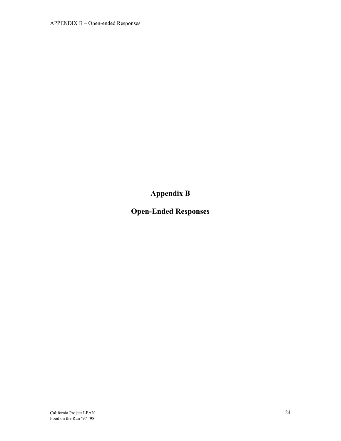**Appendix B** 

**Open-Ended Responses**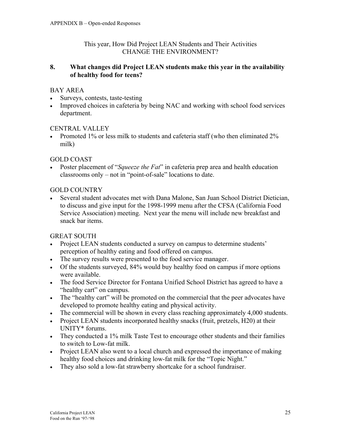#### This year, How Did Project LEAN Students and Their Activities CHANGE THE ENVIRONMENT?

#### **8. What changes did Project LEAN students make this year in the availability of healthy food for teens?**

# BAY AREA

- Surveys, contests, taste-testing
- Improved choices in cafeteria by being NAC and working with school food services department.

## CENTRAL VALLEY

• Promoted 1% or less milk to students and cafeteria staff (who then eliminated 2% milk)

# GOLD COAST

• Poster placement of "*Squeeze the Fat*" in cafeteria prep area and health education classrooms only – not in "point-of-sale" locations to date.

# GOLD COUNTRY

• Several student advocates met with Dana Malone, San Juan School District Dietician, to discuss and give input for the 1998-1999 menu after the CFSA (California Food Service Association) meeting. Next year the menu will include new breakfast and snack bar items.

# GREAT SOUTH

- Project LEAN students conducted a survey on campus to determine students' perception of healthy eating and food offered on campus.
- The survey results were presented to the food service manager.
- Of the students surveyed, 84% would buy healthy food on campus if more options were available.
- The food Service Director for Fontana Unified School District has agreed to have a "healthy cart" on campus.
- The "healthy cart" will be promoted on the commercial that the peer advocates have developed to promote healthy eating and physical activity.
- The commercial will be shown in every class reaching approximately 4,000 students.
- Project LEAN students incorporated healthy snacks (fruit, pretzels, H20) at their UNITY\* forums.
- They conducted a 1% milk Taste Test to encourage other students and their families to switch to Low-fat milk.
- Project LEAN also went to a local church and expressed the importance of making healthy food choices and drinking low-fat milk for the "Topic Night."
- They also sold a low-fat strawberry shortcake for a school fundraiser.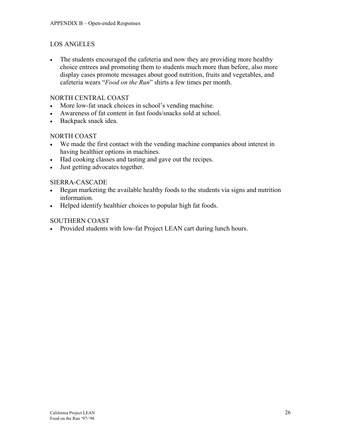## LOS ANGELES

• The students encouraged the cafeteria and now they are providing more healthy choice entrees and promoting them to students much more than before, also more display cases promote messages about good nutrition, fruits and vegetables, and cafeteria wears "*Food on the Run*" shirts a few times per month.

#### NORTH CENTRAL COAST

- More low-fat snack choices in school's vending machine.
- Awareness of fat content in fast foods/snacks sold at school.
- Backpack snack idea.

## NORTH COAST

- We made the first contact with the vending machine companies about interest in having healthier options in machines.
- Had cooking classes and tasting and gave out the recipes.
- Just getting advocates together.

## SIERRA-CASCADE

- Began marketing the available healthy foods to the students via signs and nutrition information.
- Helped identify healthier choices to popular high fat foods.

## SOUTHERN COAST

• Provided students with low-fat Project LEAN cart during lunch hours.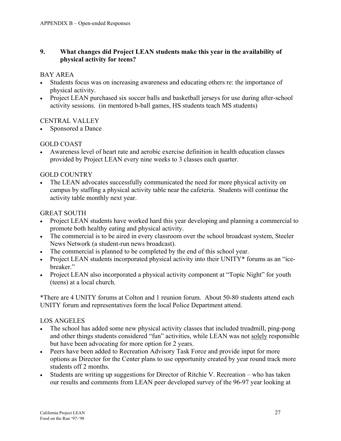## **9. What changes did Project LEAN students make this year in the availability of physical activity for teens?**

## BAY AREA

- Students focus was on increasing awareness and educating others re: the importance of physical activity.
- Project LEAN purchased six soccer balls and basketball jerseys for use during after-school activity sessions. (in mentored b-ball games, HS students teach MS students)

# CENTRAL VALLEY

Sponsored a Dance

# GOLD COAST

• Awareness level of heart rate and aerobic exercise definition in health education classes provided by Project LEAN every nine weeks to 3 classes each quarter.

# GOLD COUNTRY

• The LEAN advocates successfully communicated the need for more physical activity on campus by staffing a physical activity table near the cafeteria. Students will continue the activity table monthly next year.

# GREAT SOUTH

- Project LEAN students have worked hard this year developing and planning a commercial to promote both healthy eating and physical activity.
- The commercial is to be aired in every classroom over the school broadcast system, Steeler News Network (a student-run news broadcast).
- The commercial is planned to be completed by the end of this school year.
- Project LEAN students incorporated physical activity into their UNITY\* forums as an "icebreaker."
- Project LEAN also incorporated a physical activity component at "Topic Night" for youth (teens) at a local church.

\*There are 4 UNITY forums at Colton and 1 reunion forum. About 50-80 students attend each UNITY forum and representatives form the local Police Department attend.

# LOS ANGELES

- The school has added some new physical activity classes that included treadmill, ping-pong and other things students considered "fun" activities, while LEAN was not solely responsible but have been advocating for more option for 2 years.
- Peers have been added to Recreation Advisory Task Force and provide input for more options as Director for the Center plans to use opportunity created by year round track more students off 2 months.
- Students are writing up suggestions for Director of Ritchie V. Recreation who has taken our results and comments from LEAN peer developed survey of the 96-97 year looking at